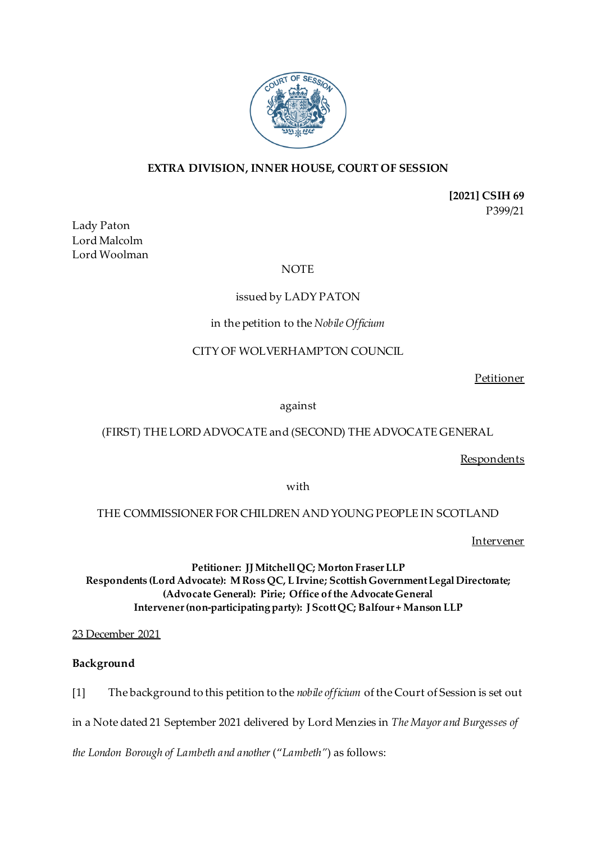

# **EXTRA DIVISION, INNER HOUSE, COURT OF SESSION**

**[2021] CSIH 69** P399/21

Lady Paton Lord Malcolm Lord Woolman

### **NOTE**

## issued by LADY PATON

### in the petition to the *Nobile Officium*

## CITY OF WOLVERHAMPTON COUNCIL

Petitioner

against

#### (FIRST) THE LORD ADVOCATE and (SECOND) THE ADVOCATE GENERAL

**Respondents** 

with

### THE COMMISSIONER FOR CHILDREN AND YOUNG PEOPLE IN SCOTLAND

Intervener

## **Petitioner: JJ MitchellQC; Morton Fraser LLP Respondents (Lord Advocate): M Ross QC, L Irvine; Scottish Government Legal Directorate; (Advocate General): Pirie; Office of the Advocate General Intervener (non-participating party): J Scott QC; Balfour + Manson LLP**

23 December 2021

# **Background**

[1] The background to this petition to the *nobile officium* of the Court of Session is set out

in a Note dated 21 September 2021 delivered by Lord Menzies in *The Mayor and Burgesses of* 

*the London Borough of Lambeth and another* ("*Lambeth"*) as follows: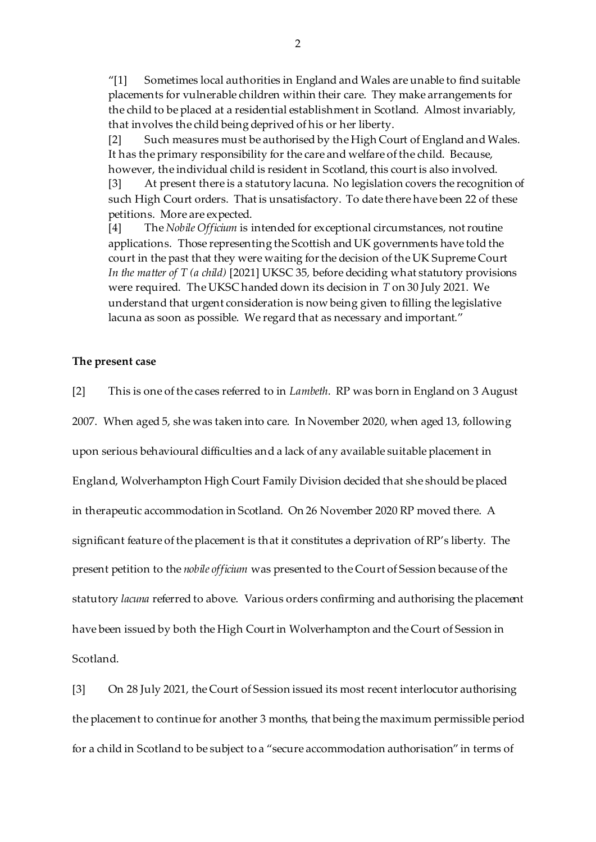"[1] Sometimes local authorities in England and Wales are unable to find suitable placements for vulnerable children within their care. They make arrangements for the child to be placed at a residential establishment in Scotland. Almost invariably, that involves the child being deprived of his or her liberty.

[2] Such measures must be authorised by the High Court of England and Wales. It has the primary responsibility for the care and welfare of the child. Because, however, the individual child is resident in Scotland, this court is also involved.

[3] At present there is a statutory lacuna. No legislation covers the recognition of such High Court orders. That is unsatisfactory. To date there have been 22 of these petitions. More are expected.

[4] The *Nobile Officium* is intended for exceptional circumstances, not routine applications. Those representing the Scottish and UK governments have told the court in the past that they were waiting for the decision of the UK Supreme Court *In the matter of T (a child)* [2021] UKSC 35*,* before deciding what statutory provisions were required. The UKSC handed down its decision in *T* on 30 July 2021. We understand that urgent consideration is now being given to filling the legislative lacuna as soon as possible. We regard that as necessary and important."

#### **The present case**

[2] This is one of the cases referred to in *Lambeth*. RP was born in England on 3 August 2007. When aged 5, she was taken into care. In November 2020, when aged 13, following upon serious behavioural difficulties and a lack of any available suitable placement in England, Wolverhampton High Court Family Division decided that she should be placed in therapeutic accommodation in Scotland. On 26 November 2020 RP moved there. A significant feature of the placement is that it constitutes a deprivation of RP's liberty. The present petition to the *nobile officium* was presented to the Court of Session because of the statutory *lacuna* referred to above. Various orders confirming and authorising the placement have been issued by both the High Court in Wolverhampton and the Court of Session in Scotland.

[3] On 28 July 2021, the Court of Session issued its most recent interlocutor authorising the placement to continue for another 3 months, that being the maximum permissible period for a child in Scotland to be subject to a "secure accommodation authorisation" in terms of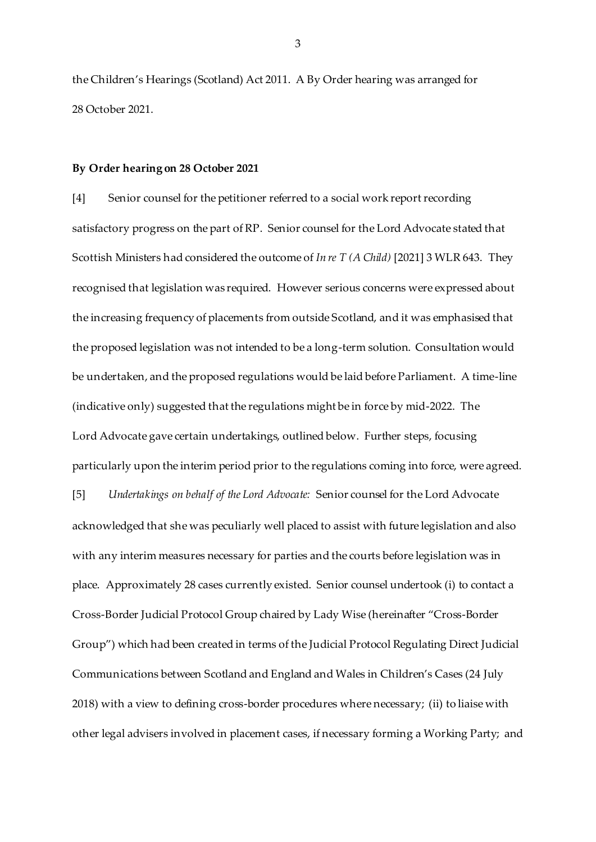the Children's Hearings (Scotland) Act 2011. A By Order hearing was arranged for 28 October 2021.

#### **By Order hearing on 28 October 2021**

[4] Senior counsel for the petitioner referred to a social work report recording satisfactory progress on the part of RP. Senior counsel for the Lord Advocate stated that Scottish Ministers had considered the outcome of *In re T (A Child)* [2021] 3 WLR 643. They recognised that legislation was required. However serious concerns were expressed about the increasing frequency of placements from outside Scotland, and it was emphasised that the proposed legislation was not intended to be a long-term solution. Consultation would be undertaken, and the proposed regulations would be laid before Parliament. A time-line (indicative only) suggested that the regulations might be in force by mid-2022. The Lord Advocate gave certain undertakings, outlined below. Further steps, focusing particularly upon the interim period prior to the regulations coming into force, were agreed.

[5] *Undertakings on behalf of the Lord Advocate:* Senior counsel for the Lord Advocate acknowledged that she was peculiarly well placed to assist with future legislation and also with any interim measures necessary for parties and the courts before legislation was in place. Approximately 28 cases currently existed. Senior counsel undertook (i) to contact a Cross-Border Judicial Protocol Group chaired by Lady Wise (hereinafter "Cross-Border Group") which had been created in terms of the Judicial Protocol Regulating Direct Judicial Communications between Scotland and England and Wales in Children's Cases (24 July 2018) with a view to defining cross-border procedures where necessary; (ii) to liaise with other legal advisers involved in placement cases, if necessary forming a Working Party; and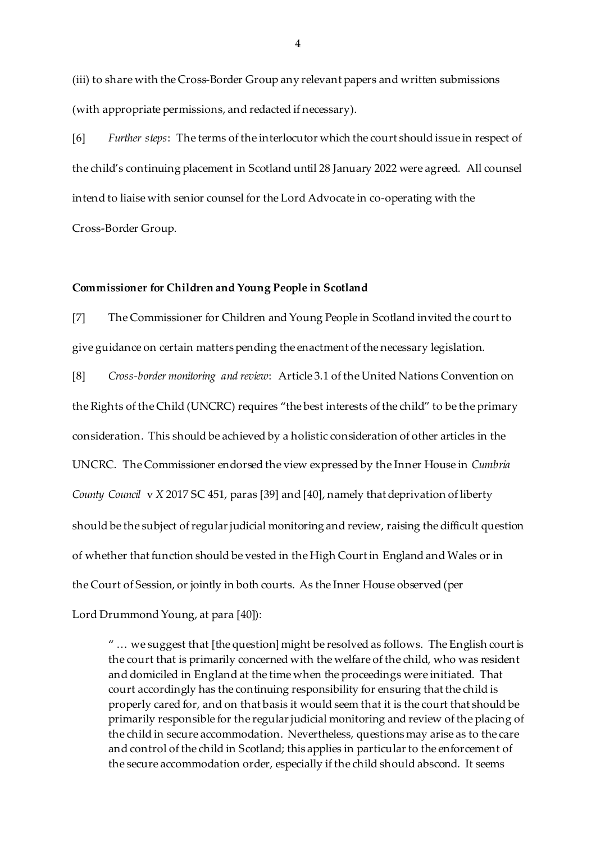(iii) to share with the Cross-Border Group any relevant papers and written submissions (with appropriate permissions, and redacted if necessary).

[6] *Further steps*: The terms of the interlocutor which the court should issue in respect of the child's continuing placement in Scotland until 28 January 2022 were agreed. All counsel intend to liaise with senior counsel for the Lord Advocate in co-operating with the Cross-Border Group.

#### **Commissioner for Children and Young People in Scotland**

[7] The Commissioner for Children and Young People in Scotland invited the court to give guidance on certain matters pending the enactment of the necessary legislation.

[8] *Cross-border monitoring and review*:Article 3.1 of the United Nations Convention on the Rights of the Child (UNCRC) requires "the best interests of the child" to be the primary consideration. This should be achieved by a holistic consideration of other articles in the UNCRC. The Commissioner endorsed the view expressed by the Inner House in *Cumbria County Council* v *X* 2017 SC 451, paras [39] and [40], namely that deprivation of liberty should be the subject of regular judicial monitoring and review, raising the difficult question of whether that function should be vested in the High Court in England and Wales or in the Court of Session, or jointly in both courts. As the Inner House observed (per Lord Drummond Young, at para [40]):

" … we suggest that [the question] might be resolved as follows. The English court is the court that is primarily concerned with the welfare of the child, who was resident and domiciled in England at the time when the proceedings were initiated. That court accordingly has the continuing responsibility for ensuring that the child is properly cared for, and on that basis it would seem that it is the court that should be primarily responsible for the regular judicial monitoring and review of the placing of the child in secure accommodation. Nevertheless, questions may arise as to the care and control of the child in Scotland; this applies in particular to the enforcement of the secure accommodation order, especially if the child should abscond. It seems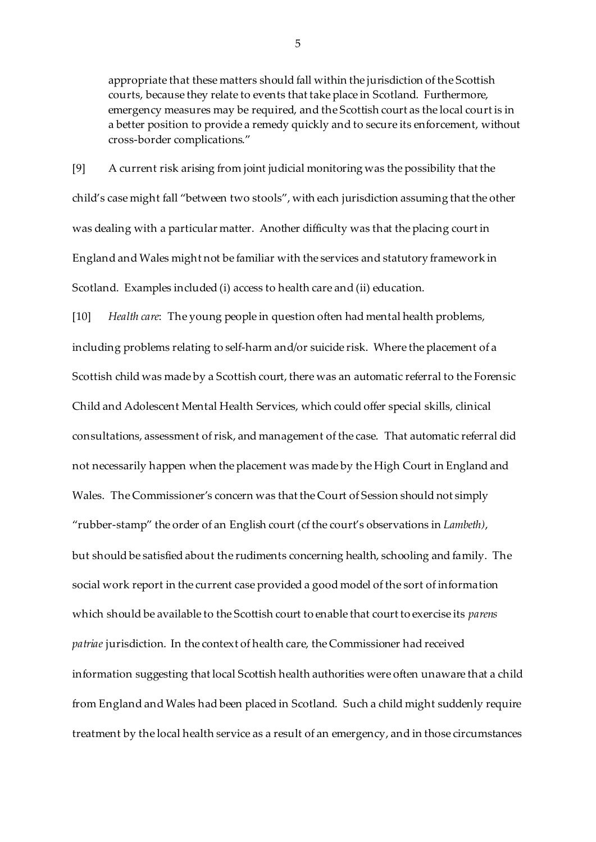appropriate that these matters should fall within the jurisdiction of the Scottish courts, because they relate to events that take place in Scotland. Furthermore, emergency measures may be required, and the Scottish court as the local court is in a better position to provide a remedy quickly and to secure its enforcement, without cross-border complications."

[9] A current risk arising from joint judicial monitoring was the possibility that the child's case might fall "between two stools", with each jurisdiction assuming that the other was dealing with a particular matter. Another difficulty was that the placing court in England and Wales might not be familiar with the services and statutory framework in Scotland. Examples included (i) access to health care and (ii) education.

[10] *Health care*:The young people in question often had mental health problems, including problems relating to self-harm and/or suicide risk. Where the placement of a Scottish child was made by a Scottish court, there was an automatic referral to the Forensic Child and Adolescent Mental Health Services, which could offer special skills, clinical consultations, assessment of risk, and management of the case. That automatic referral did not necessarily happen when the placement was made by the High Court in England and Wales. The Commissioner's concern was that the Court of Session should not simply "rubber-stamp" the order of an English court (cf the court's observations in *Lambeth)*, but should be satisfied about the rudiments concerning health, schooling and family. The social work report in the current case provided a good model of the sort of information which should be available to the Scottish court to enable that court to exercise its *parens patriae* jurisdiction. In the context of health care, the Commissioner had received information suggesting that local Scottish health authorities were often unaware that a child from England and Wales had been placed in Scotland. Such a child might suddenly require treatment by the local health service as a result of an emergency, and in those circumstances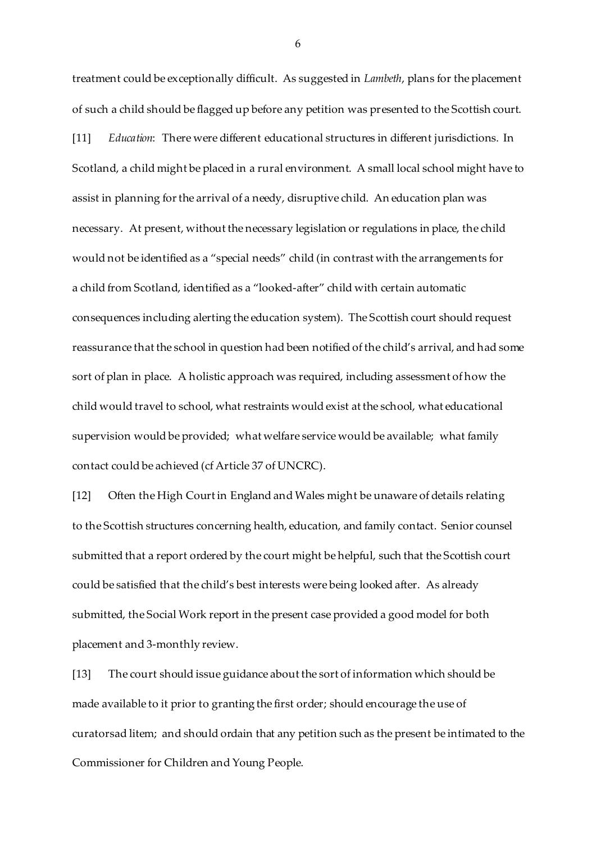treatment could be exceptionally difficult. As suggested in *Lambeth*, plans for the placement of such a child should be flagged up before any petition was presented to the Scottish court. [11] *Education*:There were different educational structures in different jurisdictions. In Scotland, a child might be placed in a rural environment. A small local school might have to assist in planning for the arrival of a needy, disruptive child. An education plan was necessary. At present, without the necessary legislation or regulations in place, the child would not be identified as a "special needs" child (in contrast with the arrangements for a child from Scotland, identified as a "looked-after" child with certain automatic consequences including alerting the education system). The Scottish court should request reassurance that the school in question had been notified of the child's arrival, and had some sort of plan in place. A holistic approach was required, including assessment of how the child would travel to school, what restraints would exist at the school, what educational supervision would be provided; what welfare service would be available; what family contact could be achieved (cf Article 37 of UNCRC).

[12] Often the High Court in England and Wales might be unaware of details relating to the Scottish structures concerning health, education, and family contact. Senior counsel submitted that a report ordered by the court might be helpful, such that the Scottish court could be satisfied that the child's best interests were being looked after. As already submitted, the Social Work report in the present case provided a good model for both placement and 3-monthly review.

[13] The court should issue guidance about the sort of information which should be made available to it prior to granting the first order; should encourage the use of curatorsad litem; and should ordain that any petition such as the present be intimated to the Commissioner for Children and Young People.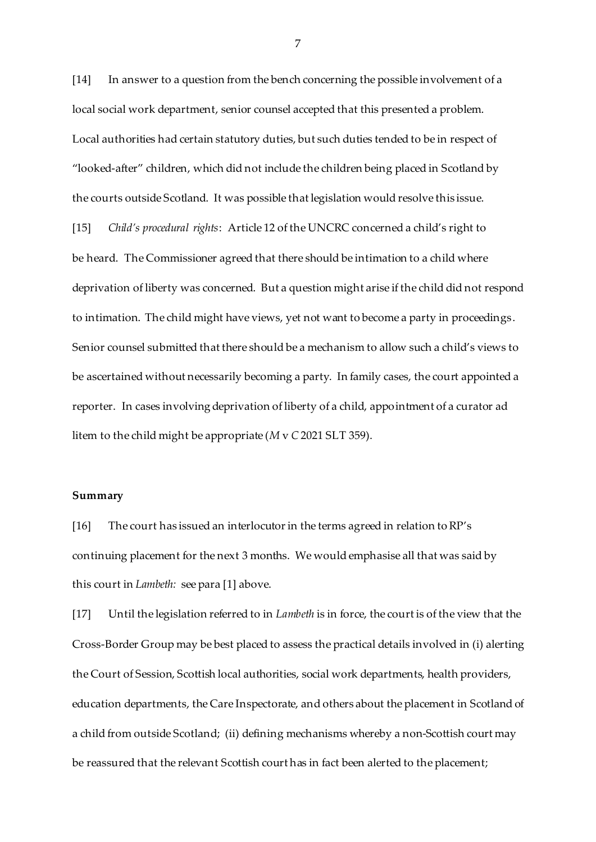[14] In answer to a question from the bench concerning the possible involvement of a local social work department, senior counsel accepted that this presented a problem. Local authorities had certain statutory duties, but such duties tended to be in respect of "looked-after" children, which did not include the children being placed in Scotland by the courts outside Scotland. It was possible that legislation would resolve this issue.

[15] *Child's procedural rights*: Article 12 of the UNCRC concerned a child's right to be heard. The Commissioner agreed that there should be intimation to a child where deprivation of liberty was concerned. But a question might arise if the child did not respond to intimation. The child might have views, yet not want to become a party in proceedings. Senior counsel submitted that there should be a mechanism to allow such a child's views to be ascertained without necessarily becoming a party. In family cases, the court appointed a reporter. In cases involving deprivation of liberty of a child, appointment of a curator ad litem to the child might be appropriate (*M* v *C* 2021 SLT 359).

#### **Summary**

[16] The court has issued an interlocutor in the terms agreed in relation to RP's continuing placement for the next 3 months. We would emphasise all that was said by this court in *Lambeth:* see para [1] above.

[17] Until the legislation referred to in *Lambeth* is in force, the court is of the view that the Cross-Border Group may be best placed to assess the practical details involved in (i) alerting the Court of Session, Scottish local authorities, social work departments, health providers, education departments, the Care Inspectorate, and others about the placement in Scotland of a child from outside Scotland; (ii) defining mechanisms whereby a non-Scottish court may be reassured that the relevant Scottish court has in fact been alerted to the placement;